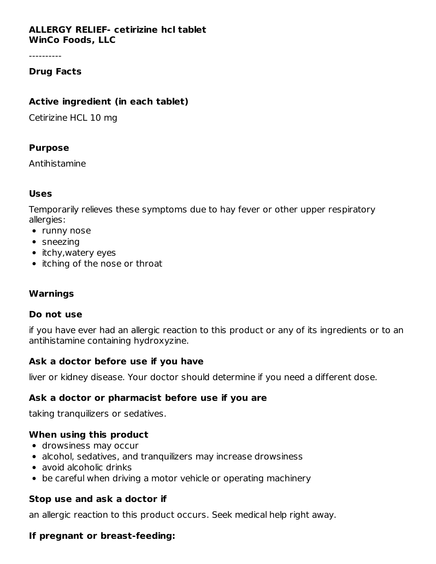### **ALLERGY RELIEF- cetirizine hcl tablet WinCo Foods, LLC**

----------

### **Drug Facts**

### **Active ingredient (in each tablet)**

Cetirizine HCL 10 mg

#### **Purpose**

Antihistamine

### **Uses**

Temporarily relieves these symptoms due to hay fever or other upper respiratory allergies:

- runny nose
- sneezing
- itchy, watery eyes
- itching of the nose or throat

# **Warnings**

#### **Do not use**

if you have ever had an allergic reaction to this product or any of its ingredients or to an antihistamine containing hydroxyzine.

#### **Ask a doctor before use if you have**

liver or kidney disease. Your doctor should determine if you need a different dose.

# **Ask a doctor or pharmacist before use if you are**

taking tranquilizers or sedatives.

#### **When using this product**

- drowsiness may occur
- alcohol, sedatives, and tranquilizers may increase drowsiness
- avoid alcoholic drinks
- be careful when driving a motor vehicle or operating machinery

# **Stop use and ask a doctor if**

an allergic reaction to this product occurs. Seek medical help right away.

# **If pregnant or breast-feeding:**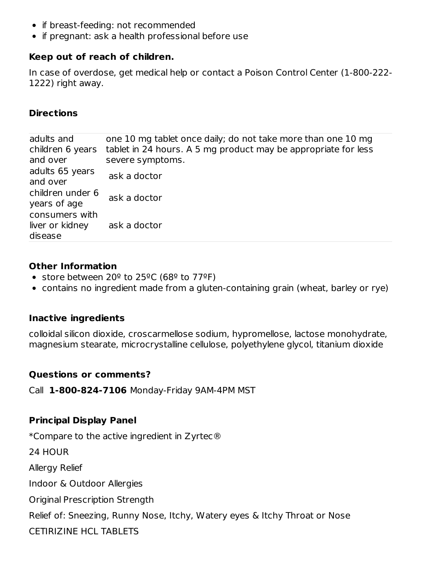- if breast-feeding: not recommended
- if pregnant: ask a health professional before use

# **Keep out of reach of children.**

In case of overdose, get medical help or contact a Poison Control Center (1-800-222- 1222) right away.

# **Directions**

| adults and<br>children 6 years<br>and over   | one 10 mg tablet once daily; do not take more than one 10 mg<br>tablet in 24 hours. A 5 mg product may be appropriate for less<br>severe symptoms. |
|----------------------------------------------|----------------------------------------------------------------------------------------------------------------------------------------------------|
| adults 65 years<br>and over                  | ask a doctor                                                                                                                                       |
| children under 6<br>years of age             | ask a doctor                                                                                                                                       |
| consumers with<br>liver or kidney<br>disease | ask a doctor                                                                                                                                       |

# **Other Information**

- store between 20 $9$  to 25 $9$ C (68 $9$  to 77 $9$ F)
- contains no ingredient made from a gluten-containing grain (wheat, barley or rye)

# **Inactive ingredients**

colloidal silicon dioxide, croscarmellose sodium, hypromellose, lactose monohydrate, magnesium stearate, microcrystalline cellulose, polyethylene glycol, titanium dioxide

# **Questions or comments?**

Call **1-800-824-7106** Monday-Friday 9AM-4PM MST

# **Principal Display Panel**

\*Compare to the active ingredient in Zyrtec®

24 HOUR

Allergy Relief

Indoor & Outdoor Allergies

Original Prescription Strength

Relief of: Sneezing, Runny Nose, Itchy, Watery eyes & Itchy Throat or Nose

CETIRIZINE HCL TABLETS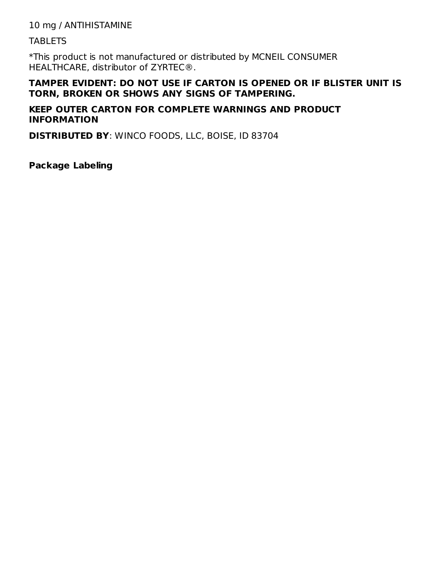10 mg / ANTIHISTAMINE

**TABLETS** 

\*This product is not manufactured or distributed by MCNEIL CONSUMER HEALTHCARE, distributor of ZYRTEC®.

### **TAMPER EVIDENT: DO NOT USE IF CARTON IS OPENED OR IF BLISTER UNIT IS TORN, BROKEN OR SHOWS ANY SIGNS OF TAMPERING.**

### **KEEP OUTER CARTON FOR COMPLETE WARNINGS AND PRODUCT INFORMATION**

**DISTRIBUTED BY**: WINCO FOODS, LLC, BOISE, ID 83704

**Package Labeling**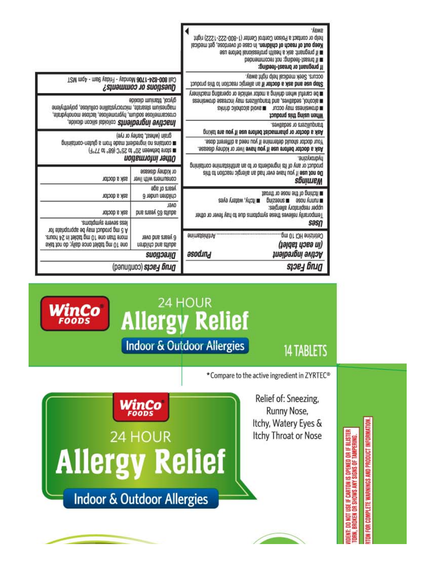|                                                                                                                               |                                                                         | help or contact a Poison Control Center (1-800-222-1222) right<br>Keep out of reach of children. In case of overdose, get medical<br>su endre ask a health professional before use<br>Il if breast-feeding: not recommended<br>If pregnant or breast-feeding: | 'ÁBMB |  |
|-------------------------------------------------------------------------------------------------------------------------------|-------------------------------------------------------------------------|---------------------------------------------------------------------------------------------------------------------------------------------------------------------------------------------------------------------------------------------------------------|-------|--|
| T2M mqA - mse ysbri- ysbnoM a0T1-ASB-008 lls.)                                                                                | Guestions or comments?                                                  | occurs. Seek medical help right away.<br>Stop use and ask a doctor if an allergic reaction to this product                                                                                                                                                    |       |  |
| magnesium stearate, microcrystalline cellulose, polyethylene<br>croscarmellose sodium, hypromellose, lactose monohydrate,     | glycol, titanium dioxide                                                | me careful when driving a motor vehicle or operating machinery<br>seniewonb sessoni yam anstillupnat bns , avitabes , lonools<br>m drowslness may occur = poops alcoholic drinks<br><b>Vihen using this product</b>                                           |       |  |
| <b>Jnactive ingredients</b> colloida shicon dioxide,                                                                          |                                                                         | cavitable or sedatives.<br>Ask a doctor or pharmacist before use if you are taking                                                                                                                                                                            |       |  |
| prinistnoo-natulg s mort ebsm tneibengni on anistnoo m                                                                        | grain (wheat, barley or rye)<br>(1°TT of °88) 3°CS of °0S neewfed enots | your doctor should determine if you need a different dose.<br>Ask a doctor before use if you have liver or kidney disease.                                                                                                                                    |       |  |
|                                                                                                                               | оцие іпбитайоп                                                          | anisyyzine.<br>prinistnoo enimsteirithns na of no atneibengni ati to yns no toubong                                                                                                                                                                           |       |  |
| ask a doctor                                                                                                                  | or kidney disease<br>consumers with liver                               | Do not use if you have ever had an allergic reaction to this<br>sbuitueM                                                                                                                                                                                      |       |  |
| ask a doctor                                                                                                                  | years of age<br>children under 6                                        | Jisonti no seon erit to gnirtofi<br>a itchy, watery eyes<br>buizaeus <b>a</b><br>ason ynnu <b>m</b>                                                                                                                                                           |       |  |
| ask a doctor                                                                                                                  | <b>Jano</b><br>adults 65 years and                                      | upper respiratory allergies:<br>Temporarily relieves these symptoms due to hay fever or other                                                                                                                                                                 |       |  |
| example of shubpurer                                                                                                          |                                                                         |                                                                                                                                                                                                                                                               | səsn  |  |
| A 5 mg product may be appropriate for<br>.enuori 4S ni teldat gm 01 eno natt enom<br>one 10 mg tablet once daily; do not take | 6 years and over<br>nenblido bns atluba                                 | enimisteininA<br>(зәјдез цэвә иј)                                                                                                                                                                                                                             |       |  |
|                                                                                                                               | Directions                                                              | əsodınd<br>Аси́уе іпдгеател                                                                                                                                                                                                                                   |       |  |
|                                                                                                                               | Drug Facts (continued)                                                  | грен Бил                                                                                                                                                                                                                                                      |       |  |



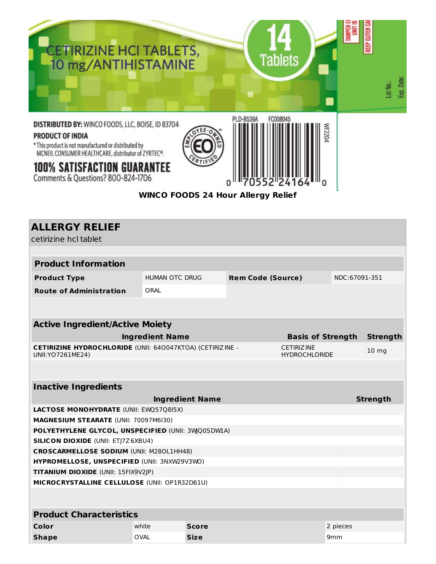

Comments & Questions? 800-824-1706

# **WINCO FOODS 24 Hour Allergy Relief**

0

n

O

| <b>ALLERGY RELIEF</b><br>cetirizine hcl tablet                                                                                       |                        |                        |                           |                          |                 |                 |  |
|--------------------------------------------------------------------------------------------------------------------------------------|------------------------|------------------------|---------------------------|--------------------------|-----------------|-----------------|--|
|                                                                                                                                      |                        |                        |                           |                          |                 |                 |  |
| <b>Product Information</b>                                                                                                           |                        |                        |                           |                          |                 |                 |  |
| <b>Product Type</b>                                                                                                                  | <b>HUMAN OTC DRUG</b>  |                        | <b>Item Code (Source)</b> |                          |                 | NDC:67091-351   |  |
| <b>Route of Administration</b>                                                                                                       | ORAL                   |                        |                           |                          |                 |                 |  |
|                                                                                                                                      |                        |                        |                           |                          |                 |                 |  |
| <b>Active Ingredient/Active Moiety</b>                                                                                               |                        |                        |                           |                          |                 |                 |  |
|                                                                                                                                      | <b>Ingredient Name</b> |                        |                           | <b>Basis of Strength</b> |                 | <b>Strength</b> |  |
| <b>CETIRIZINE HYDROCHLORIDE (UNII: 640047KTOA) (CETIRIZINE -</b><br><b>CETIRIZINE</b><br>UNII: YO 7261 ME24)<br><b>HYDROCHLORIDE</b> |                        |                        |                           | 10 <sub>mg</sub>         |                 |                 |  |
|                                                                                                                                      |                        |                        |                           |                          |                 |                 |  |
| <b>Inactive Ingredients</b>                                                                                                          |                        |                        |                           |                          |                 |                 |  |
|                                                                                                                                      |                        | <b>Ingredient Name</b> |                           |                          |                 | <b>Strength</b> |  |
| <b>LACTOSE MONOHYDRATE (UNII: EWQ57Q8I5X)</b>                                                                                        |                        |                        |                           |                          |                 |                 |  |
| MAGNESIUM STEARATE (UNII: 70097M6I30)                                                                                                |                        |                        |                           |                          |                 |                 |  |
| POLYETHYLENE GLYCOL, UNSPECIFIED (UNII: 3WQ0SDW1A)                                                                                   |                        |                        |                           |                          |                 |                 |  |
| <b>SILICON DIOXIDE (UNII: ETJ7Z6XBU4)</b>                                                                                            |                        |                        |                           |                          |                 |                 |  |
| <b>CROSCARMELLOSE SODIUM (UNII: M280L1HH48)</b>                                                                                      |                        |                        |                           |                          |                 |                 |  |
| HYPROMELLOSE, UNSPECIFIED (UNII: 3NXW29V3WO)                                                                                         |                        |                        |                           |                          |                 |                 |  |
| TITANIUM DIOXIDE (UNII: 15FIX9V2JP)                                                                                                  |                        |                        |                           |                          |                 |                 |  |
| MICROCRYSTALLINE CELLULOSE (UNII: OP1R32D61U)                                                                                        |                        |                        |                           |                          |                 |                 |  |
|                                                                                                                                      |                        |                        |                           |                          |                 |                 |  |
| <b>Product Characteristics</b>                                                                                                       |                        |                        |                           |                          |                 |                 |  |
| Color                                                                                                                                | white                  | <b>Score</b>           |                           |                          | 2 pieces        |                 |  |
| <b>Shape</b>                                                                                                                         | <b>OVAL</b>            | <b>Size</b>            |                           |                          | 9 <sub>mm</sub> |                 |  |
|                                                                                                                                      |                        |                        |                           |                          |                 |                 |  |